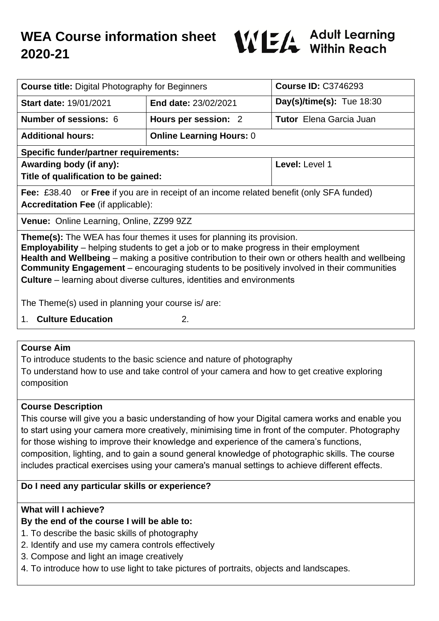# **WEA Course information sheet 2020-21**



| <b>Course title: Digital Photography for Beginners</b>                                                                                                                                                                                                                                                                                                                                                                                                                  |                                 | <b>Course ID: C3746293</b>     |
|-------------------------------------------------------------------------------------------------------------------------------------------------------------------------------------------------------------------------------------------------------------------------------------------------------------------------------------------------------------------------------------------------------------------------------------------------------------------------|---------------------------------|--------------------------------|
| <b>Start date: 19/01/2021</b>                                                                                                                                                                                                                                                                                                                                                                                                                                           | <b>End date: 23/02/2021</b>     | Day(s)/time(s): $Tue 18:30$    |
| <b>Number of sessions: 6</b>                                                                                                                                                                                                                                                                                                                                                                                                                                            | Hours per session: 2            | <b>Tutor</b> Elena Garcia Juan |
| <b>Additional hours:</b>                                                                                                                                                                                                                                                                                                                                                                                                                                                | <b>Online Learning Hours: 0</b> |                                |
| <b>Specific funder/partner requirements:</b>                                                                                                                                                                                                                                                                                                                                                                                                                            |                                 |                                |
| Awarding body (if any):                                                                                                                                                                                                                                                                                                                                                                                                                                                 |                                 | Level: Level 1                 |
| Title of qualification to be gained:                                                                                                                                                                                                                                                                                                                                                                                                                                    |                                 |                                |
| <b>Fee:</b> £38.40 or <b>Free</b> if you are in receipt of an income related benefit (only SFA funded)                                                                                                                                                                                                                                                                                                                                                                  |                                 |                                |
| <b>Accreditation Fee (if applicable):</b>                                                                                                                                                                                                                                                                                                                                                                                                                               |                                 |                                |
| Venue: Online Learning, Online, ZZ99 9ZZ                                                                                                                                                                                                                                                                                                                                                                                                                                |                                 |                                |
| <b>Theme(s):</b> The WEA has four themes it uses for planning its provision.<br><b>Employability</b> – helping students to get a job or to make progress in their employment<br>Health and Wellbeing – making a positive contribution to their own or others health and wellbeing<br><b>Community Engagement</b> – encouraging students to be positively involved in their communities<br><b>Culture</b> – learning about diverse cultures, identities and environments |                                 |                                |
| The Theme(s) used in planning your course is/ are:                                                                                                                                                                                                                                                                                                                                                                                                                      |                                 |                                |
| <b>Culture Education</b><br>2.<br>1.                                                                                                                                                                                                                                                                                                                                                                                                                                    |                                 |                                |

## **Course Aim**

To introduce students to the basic science and nature of photography To understand how to use and take control of your camera and how to get creative exploring composition

## **Course Description**

This course will give you a basic understanding of how your Digital camera works and enable you to start using your camera more creatively, minimising time in front of the computer. Photography for those wishing to improve their knowledge and experience of the camera's functions, composition, lighting, and to gain a sound general knowledge of photographic skills. The course includes practical exercises using your camera's manual settings to achieve different effects.

## **Do I need any particular skills or experience?**

## **What will I achieve?**

## **By the end of the course I will be able to:**

- 1. To describe the basic skills of photography
- 2. Identify and use my camera controls effectively
- 3. Compose and light an image creatively
- 4. To introduce how to use light to take pictures of portraits, objects and landscapes.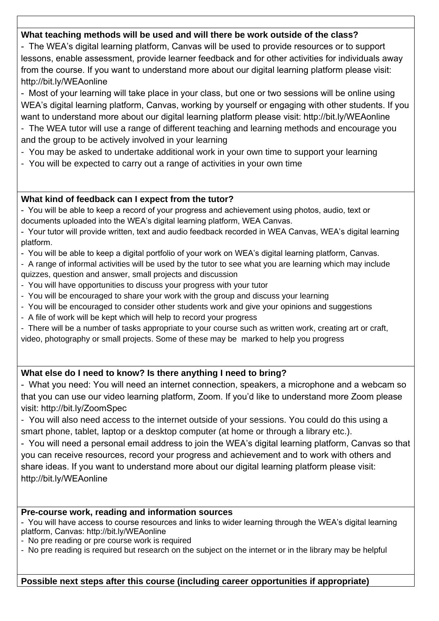## **What teaching methods will be used and will there be work outside of the class?**

- The WEA's digital learning platform, Canvas will be used to provide resources or to support lessons, enable assessment, provide learner feedback and for other activities for individuals away from the course. If you want to understand more about our digital learning platform please visit: http://bit.ly/WEAonline

- Most of your learning will take place in your class, but one or two sessions will be online using WEA's digital learning platform, Canvas, working by yourself or engaging with other students. If you want to understand more about our digital learning platform please visit: http://bit.ly/WEAonline - The WEA tutor will use a range of different teaching and learning methods and encourage you

and the group to be actively involved in your learning

- You may be asked to undertake additional work in your own time to support your learning
- You will be expected to carry out a range of activities in your own time

## **What kind of feedback can I expect from the tutor?**

- You will be able to keep a record of your progress and achievement using photos, audio, text or documents uploaded into the WEA's digital learning platform, WEA Canvas.

- Your tutor will provide written, text and audio feedback recorded in WEA Canvas, WEA's digital learning platform.

- You will be able to keep a digital portfolio of your work on WEA's digital learning platform, Canvas.

- A range of informal activities will be used by the tutor to see what you are learning which may include quizzes, question and answer, small projects and discussion

- You will have opportunities to discuss your progress with your tutor
- You will be encouraged to share your work with the group and discuss your learning
- You will be encouraged to consider other students work and give your opinions and suggestions
- A file of work will be kept which will help to record your progress

- There will be a number of tasks appropriate to your course such as written work, creating art or craft, video, photography or small projects. Some of these may be marked to help you progress

## **What else do I need to know? Is there anything I need to bring?**

- What you need: You will need an internet connection, speakers, a microphone and a webcam so that you can use our video learning platform, Zoom. If you'd like to understand more Zoom please visit: http://bit.ly/ZoomSpec

- You will also need access to the internet outside of your sessions. You could do this using a smart phone, tablet, laptop or a desktop computer (at home or through a library etc.).

- You will need a personal email address to join the WEA's digital learning platform, Canvas so that you can receive resources, record your progress and achievement and to work with others and share ideas. If you want to understand more about our digital learning platform please visit: http://bit.ly/WEAonline

## **Pre-course work, reading and information sources**

- You will have access to course resources and links to wider learning through the WEA's digital learning platform, Canvas: http://bit.ly/WEAonline

- No pre reading or pre course work is required

- No pre reading is required but research on the subject on the internet or in the library may be helpful

**Possible next steps after this course (including career opportunities if appropriate)**